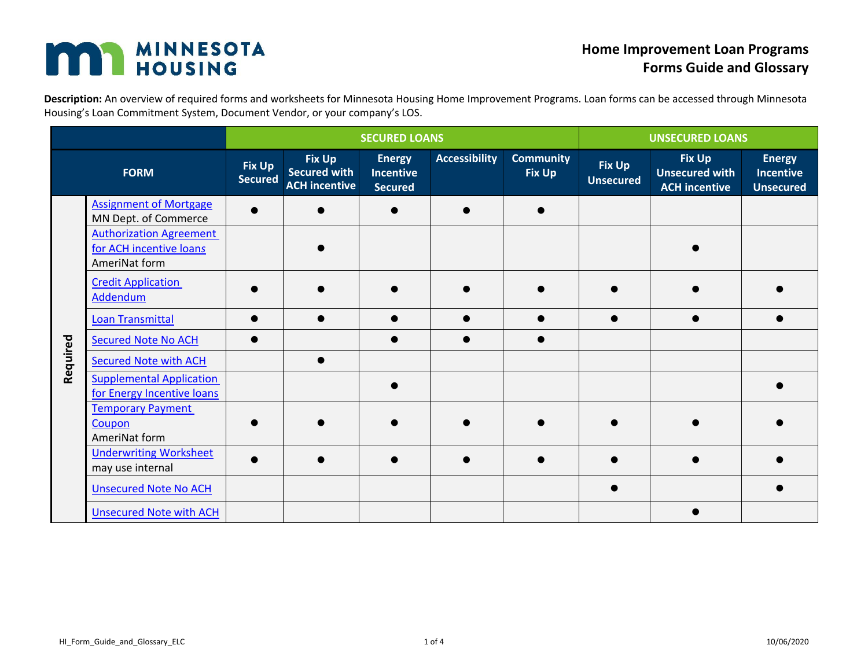## **MAN MINNESOTA**

## **Home Improvement Loan Programs Forms Guide and Glossary**

**Description:** An overview of required forms and worksheets for Minnesota Housing Home Improvement Programs. Loan forms can be accessed through Minnesota Housing's Loan Commitment System, Document Vendor, or your company's LOS.

|          |                                                                            | <b>SECURED LOANS</b>            |                                                       |                                                     |                      | <b>UNSECURED LOANS</b>     |                            |                                                                |                                                       |
|----------|----------------------------------------------------------------------------|---------------------------------|-------------------------------------------------------|-----------------------------------------------------|----------------------|----------------------------|----------------------------|----------------------------------------------------------------|-------------------------------------------------------|
|          | <b>FORM</b>                                                                | <b>Fix Up</b><br><b>Secured</b> | <b>Fix Up</b><br>Secured with<br><b>ACH incentive</b> | <b>Energy</b><br><b>Incentive</b><br><b>Secured</b> | <b>Accessibility</b> | <b>Community</b><br>Fix Up | Fix Up<br><b>Unsecured</b> | <b>Fix Up</b><br><b>Unsecured with</b><br><b>ACH incentive</b> | <b>Energy</b><br><b>Incentive</b><br><b>Unsecured</b> |
|          | <b>Assignment of Mortgage</b><br>MN Dept. of Commerce                      |                                 |                                                       |                                                     |                      |                            |                            |                                                                |                                                       |
|          | <b>Authorization Agreement</b><br>for ACH incentive loans<br>AmeriNat form |                                 |                                                       |                                                     |                      |                            |                            |                                                                |                                                       |
|          | <b>Credit Application</b><br>Addendum                                      |                                 |                                                       |                                                     |                      |                            |                            |                                                                |                                                       |
|          | <b>Loan Transmittal</b>                                                    |                                 |                                                       |                                                     |                      |                            |                            |                                                                |                                                       |
|          | <b>Secured Note No ACH</b>                                                 |                                 |                                                       |                                                     |                      |                            |                            |                                                                |                                                       |
| Required | <b>Secured Note with ACH</b>                                               |                                 |                                                       |                                                     |                      |                            |                            |                                                                |                                                       |
|          | <b>Supplemental Application</b><br>for Energy Incentive loans              |                                 |                                                       |                                                     |                      |                            |                            |                                                                |                                                       |
|          | <b>Temporary Payment</b><br>Coupon<br>AmeriNat form                        |                                 |                                                       |                                                     |                      |                            |                            |                                                                |                                                       |
|          | <b>Underwriting Worksheet</b><br>may use internal                          |                                 |                                                       |                                                     |                      |                            |                            |                                                                |                                                       |
|          | <b>Unsecured Note No ACH</b>                                               |                                 |                                                       |                                                     |                      |                            |                            |                                                                |                                                       |
|          | <b>Unsecured Note with ACH</b>                                             |                                 |                                                       |                                                     |                      |                            |                            |                                                                |                                                       |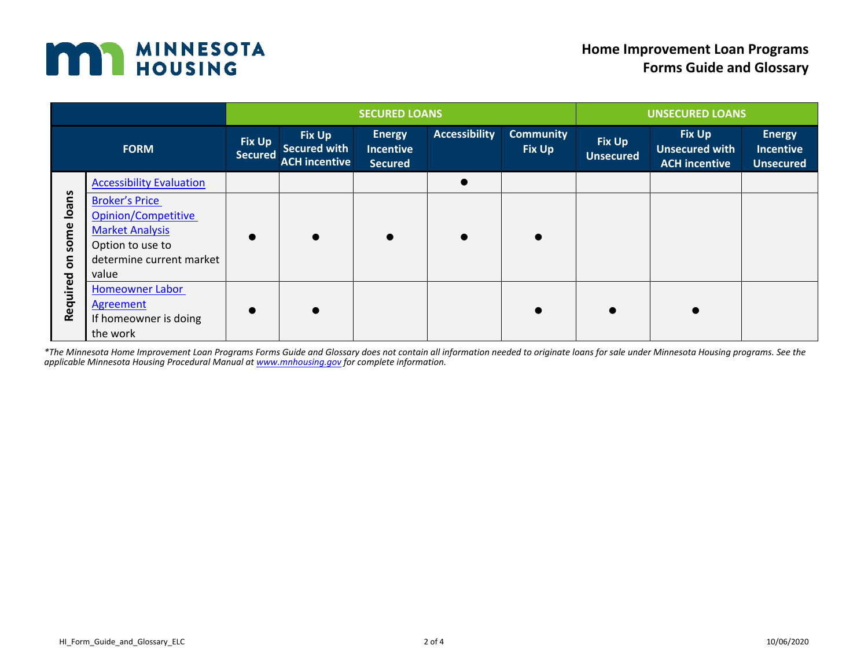

|                                                  |                                                                                                                                 | <b>SECURED LOANS</b>            |                                                              |                                              |                      | <b>UNSECURED LOANS</b>            |                                   |                                                                |                                                       |
|--------------------------------------------------|---------------------------------------------------------------------------------------------------------------------------------|---------------------------------|--------------------------------------------------------------|----------------------------------------------|----------------------|-----------------------------------|-----------------------------------|----------------------------------------------------------------|-------------------------------------------------------|
| <b>FORM</b>                                      |                                                                                                                                 | <b>Fix Up</b><br><b>Secured</b> | <b>Fix Up</b><br><b>Secured with</b><br><b>ACH incentive</b> | <b>Energy</b><br><b>Incentive</b><br>Secured | <b>Accessibility</b> | <b>Community</b><br><b>Fix Up</b> | <b>Fix Up</b><br><b>Unsecured</b> | <b>Fix Up</b><br><b>Unsecured with</b><br><b>ACH incentive</b> | <b>Energy</b><br><b>Incentive</b><br><b>Unsecured</b> |
| Ioans<br>some<br>$\overline{\bf{5}}$<br>Required | <b>Accessibility Evaluation</b>                                                                                                 |                                 |                                                              |                                              |                      |                                   |                                   |                                                                |                                                       |
|                                                  | <b>Broker's Price</b><br>Opinion/Competitive<br><b>Market Analysis</b><br>Option to use to<br>determine current market<br>value | $\bullet$                       |                                                              |                                              | $\bullet$            |                                   |                                   |                                                                |                                                       |
|                                                  | <b>Homeowner Labor</b><br>Agreement<br>If homeowner is doing<br>the work                                                        | $\bullet$                       |                                                              |                                              |                      | $\bullet$                         | $\bullet$                         | $\bullet$                                                      |                                                       |

*\*The Minnesota Home Improvement Loan Programs Forms Guide and Glossary does not contain all information needed to originate loans for sale under Minnesota Housing programs. See the applicable Minnesota Housing Procedural Manual at [www.mnhousing.gov](http://www.mnhousing.gov/) for complete information.*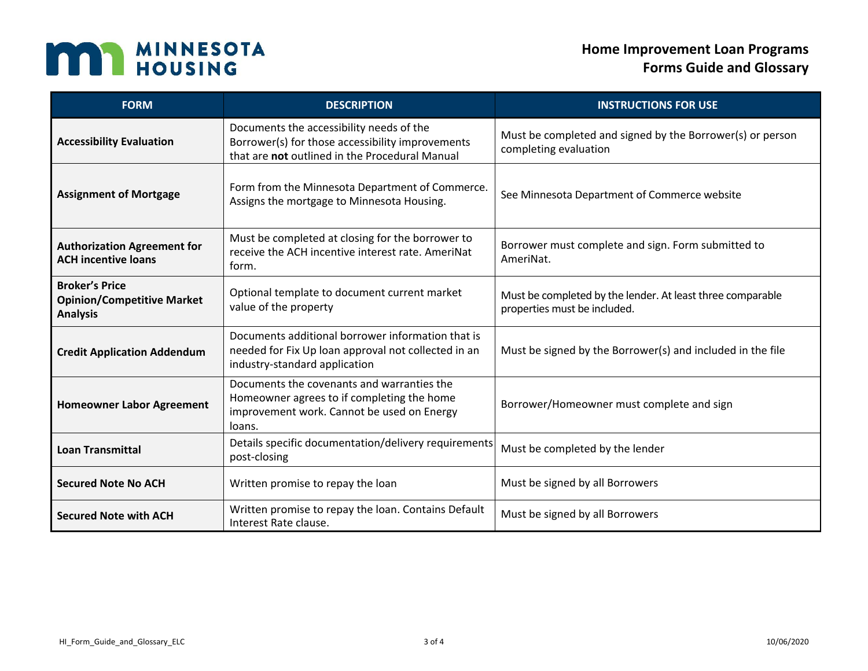

| <b>FORM</b>                                                                   | <b>DESCRIPTION</b>                                                                                                                               | <b>INSTRUCTIONS FOR USE</b>                                                                |  |  |
|-------------------------------------------------------------------------------|--------------------------------------------------------------------------------------------------------------------------------------------------|--------------------------------------------------------------------------------------------|--|--|
| <b>Accessibility Evaluation</b>                                               | Documents the accessibility needs of the<br>Borrower(s) for those accessibility improvements<br>that are not outlined in the Procedural Manual   | Must be completed and signed by the Borrower(s) or person<br>completing evaluation         |  |  |
| <b>Assignment of Mortgage</b>                                                 | Form from the Minnesota Department of Commerce.<br>Assigns the mortgage to Minnesota Housing.                                                    | See Minnesota Department of Commerce website                                               |  |  |
| <b>Authorization Agreement for</b><br><b>ACH incentive loans</b>              | Must be completed at closing for the borrower to<br>receive the ACH incentive interest rate. AmeriNat<br>form.                                   | Borrower must complete and sign. Form submitted to<br>AmeriNat.                            |  |  |
| <b>Broker's Price</b><br><b>Opinion/Competitive Market</b><br><b>Analysis</b> | Optional template to document current market<br>value of the property                                                                            | Must be completed by the lender. At least three comparable<br>properties must be included. |  |  |
| <b>Credit Application Addendum</b>                                            | Documents additional borrower information that is<br>needed for Fix Up loan approval not collected in an<br>industry-standard application        | Must be signed by the Borrower(s) and included in the file                                 |  |  |
| <b>Homeowner Labor Agreement</b>                                              | Documents the covenants and warranties the<br>Homeowner agrees to if completing the home<br>improvement work. Cannot be used on Energy<br>loans. | Borrower/Homeowner must complete and sign                                                  |  |  |
| <b>Loan Transmittal</b>                                                       | Details specific documentation/delivery requirements<br>post-closing                                                                             | Must be completed by the lender                                                            |  |  |
| <b>Secured Note No ACH</b>                                                    | Written promise to repay the loan                                                                                                                | Must be signed by all Borrowers                                                            |  |  |
| <b>Secured Note with ACH</b>                                                  | Written promise to repay the loan. Contains Default<br>Interest Rate clause.                                                                     | Must be signed by all Borrowers                                                            |  |  |